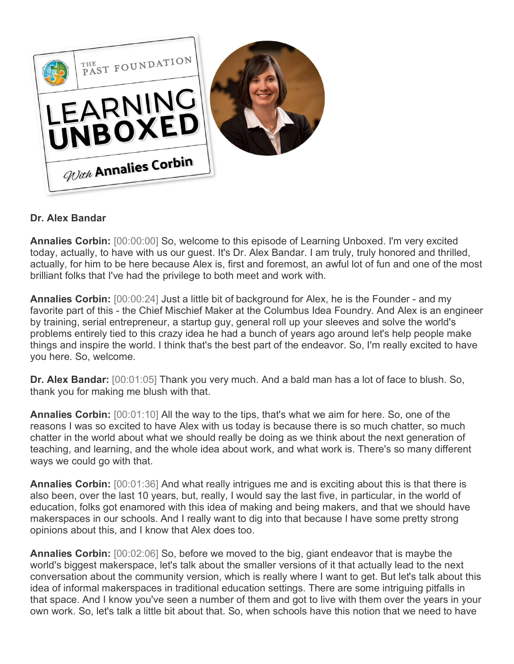

## **Dr. Alex Bandar**

**Annalies Corbin:** [00:00:00] So, welcome to this episode of Learning Unboxed. I'm very excited today, actually, to have with us our guest. It's Dr. Alex Bandar. I am truly, truly honored and thrilled, actually, for him to be here because Alex is, first and foremost, an awful lot of fun and one of the most brilliant folks that I've had the privilege to both meet and work with.

**Annalies Corbin:** [00:00:24] Just a little bit of background for Alex, he is the Founder - and my favorite part of this - the Chief Mischief Maker at the Columbus Idea Foundry. And Alex is an engineer by training, serial entrepreneur, a startup guy, general roll up your sleeves and solve the world's problems entirely tied to this crazy idea he had a bunch of years ago around let's help people make things and inspire the world. I think that's the best part of the endeavor. So, I'm really excited to have you here. So, welcome.

**Dr. Alex Bandar:** [00:01:05] Thank you very much. And a bald man has a lot of face to blush. So, thank you for making me blush with that.

**Annalies Corbin:** [00:01:10] All the way to the tips, that's what we aim for here. So, one of the reasons I was so excited to have Alex with us today is because there is so much chatter, so much chatter in the world about what we should really be doing as we think about the next generation of teaching, and learning, and the whole idea about work, and what work is. There's so many different ways we could go with that.

**Annalies Corbin:** [00:01:36] And what really intrigues me and is exciting about this is that there is also been, over the last 10 years, but, really, I would say the last five, in particular, in the world of education, folks got enamored with this idea of making and being makers, and that we should have makerspaces in our schools. And I really want to dig into that because I have some pretty strong opinions about this, and I know that Alex does too.

**Annalies Corbin:** [00:02:06] So, before we moved to the big, giant endeavor that is maybe the world's biggest makerspace, let's talk about the smaller versions of it that actually lead to the next conversation about the community version, which is really where I want to get. But let's talk about this idea of informal makerspaces in traditional education settings. There are some intriguing pitfalls in that space. And I know you've seen a number of them and got to live with them over the years in your own work. So, let's talk a little bit about that. So, when schools have this notion that we need to have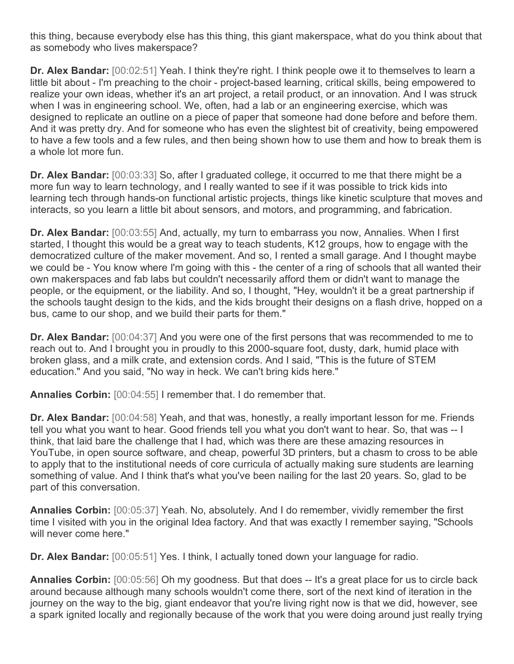this thing, because everybody else has this thing, this giant makerspace, what do you think about that as somebody who lives makerspace?

**Dr. Alex Bandar:** [00:02:51] Yeah. I think they're right. I think people owe it to themselves to learn a little bit about - I'm preaching to the choir - project-based learning, critical skills, being empowered to realize your own ideas, whether it's an art project, a retail product, or an innovation. And I was struck when I was in engineering school. We, often, had a lab or an engineering exercise, which was designed to replicate an outline on a piece of paper that someone had done before and before them. And it was pretty dry. And for someone who has even the slightest bit of creativity, being empowered to have a few tools and a few rules, and then being shown how to use them and how to break them is a whole lot more fun.

**Dr. Alex Bandar:** [00:03:33] So, after I graduated college, it occurred to me that there might be a more fun way to learn technology, and I really wanted to see if it was possible to trick kids into learning tech through hands-on functional artistic projects, things like kinetic sculpture that moves and interacts, so you learn a little bit about sensors, and motors, and programming, and fabrication.

**Dr. Alex Bandar:** [00:03:55] And, actually, my turn to embarrass you now, Annalies. When I first started, I thought this would be a great way to teach students, K12 groups, how to engage with the democratized culture of the maker movement. And so, I rented a small garage. And I thought maybe we could be - You know where I'm going with this - the center of a ring of schools that all wanted their own makerspaces and fab labs but couldn't necessarily afford them or didn't want to manage the people, or the equipment, or the liability. And so, I thought, "Hey, wouldn't it be a great partnership if the schools taught design to the kids, and the kids brought their designs on a flash drive, hopped on a bus, came to our shop, and we build their parts for them."

**Dr. Alex Bandar:** [00:04:37] And you were one of the first persons that was recommended to me to reach out to. And I brought you in proudly to this 2000-square foot, dusty, dark, humid place with broken glass, and a milk crate, and extension cords. And I said, "This is the future of STEM education." And you said, "No way in heck. We can't bring kids here."

**Annalies Corbin:** [00:04:55] I remember that. I do remember that.

**Dr. Alex Bandar:** [00:04:58] Yeah, and that was, honestly, a really important lesson for me. Friends tell you what you want to hear. Good friends tell you what you don't want to hear. So, that was -- I think, that laid bare the challenge that I had, which was there are these amazing resources in YouTube, in open source software, and cheap, powerful 3D printers, but a chasm to cross to be able to apply that to the institutional needs of core curricula of actually making sure students are learning something of value. And I think that's what you've been nailing for the last 20 years. So, glad to be part of this conversation.

**Annalies Corbin:** [00:05:37] Yeah. No, absolutely. And I do remember, vividly remember the first time I visited with you in the original Idea factory. And that was exactly I remember saying. "Schools will never come here."

**Dr. Alex Bandar:** [00:05:51] Yes. I think, I actually toned down your language for radio.

**Annalies Corbin:** [00:05:56] Oh my goodness. But that does -- It's a great place for us to circle back around because although many schools wouldn't come there, sort of the next kind of iteration in the journey on the way to the big, giant endeavor that you're living right now is that we did, however, see a spark ignited locally and regionally because of the work that you were doing around just really trying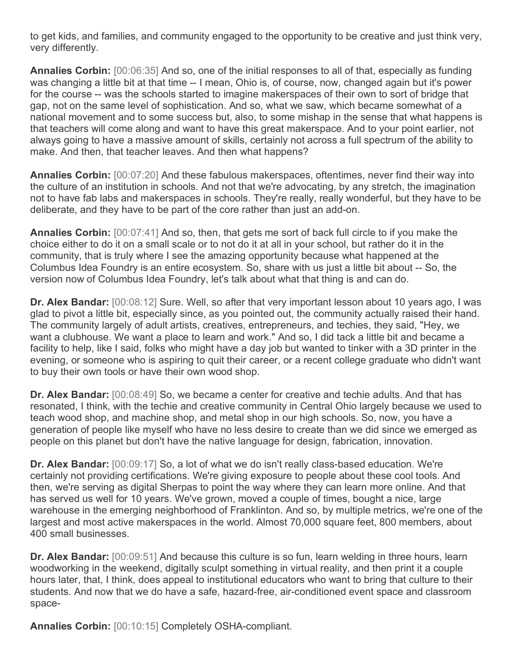to get kids, and families, and community engaged to the opportunity to be creative and just think very, very differently.

**Annalies Corbin:** [00:06:35] And so, one of the initial responses to all of that, especially as funding was changing a little bit at that time -- I mean, Ohio is, of course, now, changed again but it's power for the course -- was the schools started to imagine makerspaces of their own to sort of bridge that gap, not on the same level of sophistication. And so, what we saw, which became somewhat of a national movement and to some success but, also, to some mishap in the sense that what happens is that teachers will come along and want to have this great makerspace. And to your point earlier, not always going to have a massive amount of skills, certainly not across a full spectrum of the ability to make. And then, that teacher leaves. And then what happens?

**Annalies Corbin:** [00:07:20] And these fabulous makerspaces, oftentimes, never find their way into the culture of an institution in schools. And not that we're advocating, by any stretch, the imagination not to have fab labs and makerspaces in schools. They're really, really wonderful, but they have to be deliberate, and they have to be part of the core rather than just an add-on.

**Annalies Corbin:** [00:07:41] And so, then, that gets me sort of back full circle to if you make the choice either to do it on a small scale or to not do it at all in your school, but rather do it in the community, that is truly where I see the amazing opportunity because what happened at the Columbus Idea Foundry is an entire ecosystem. So, share with us just a little bit about -- So, the version now of Columbus Idea Foundry, let's talk about what that thing is and can do.

**Dr. Alex Bandar:** [00:08:12] Sure. Well, so after that very important lesson about 10 years ago, I was glad to pivot a little bit, especially since, as you pointed out, the community actually raised their hand. The community largely of adult artists, creatives, entrepreneurs, and techies, they said, "Hey, we want a clubhouse. We want a place to learn and work." And so, I did tack a little bit and became a facility to help, like I said, folks who might have a day job but wanted to tinker with a 3D printer in the evening, or someone who is aspiring to quit their career, or a recent college graduate who didn't want to buy their own tools or have their own wood shop.

**Dr. Alex Bandar:** [00:08:49] So, we became a center for creative and techie adults. And that has resonated, I think, with the techie and creative community in Central Ohio largely because we used to teach wood shop, and machine shop, and metal shop in our high schools. So, now, you have a generation of people like myself who have no less desire to create than we did since we emerged as people on this planet but don't have the native language for design, fabrication, innovation.

**Dr. Alex Bandar:** [00:09:17] So, a lot of what we do isn't really class-based education. We're certainly not providing certifications. We're giving exposure to people about these cool tools. And then, we're serving as digital Sherpas to point the way where they can learn more online. And that has served us well for 10 years. We've grown, moved a couple of times, bought a nice, large warehouse in the emerging neighborhood of Franklinton. And so, by multiple metrics, we're one of the largest and most active makerspaces in the world. Almost 70,000 square feet, 800 members, about 400 small businesses.

**Dr. Alex Bandar:** [00:09:51] And because this culture is so fun, learn welding in three hours, learn woodworking in the weekend, digitally sculpt something in virtual reality, and then print it a couple hours later, that, I think, does appeal to institutional educators who want to bring that culture to their students. And now that we do have a safe, hazard-free, air-conditioned event space and classroom space-

**Annalies Corbin:** [00:10:15] Completely OSHA-compliant.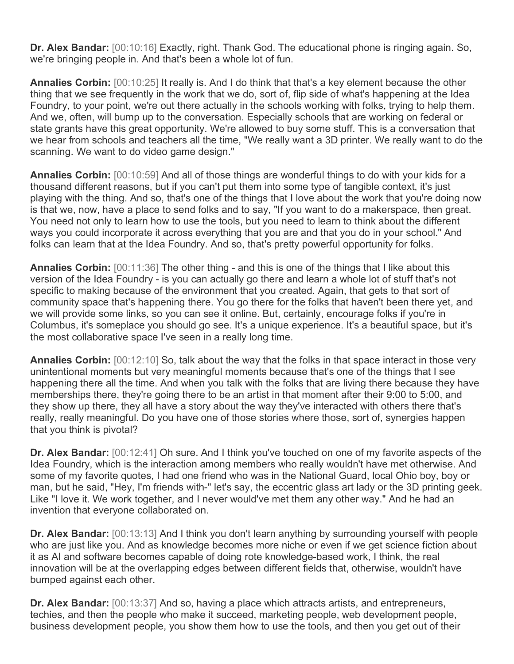**Dr. Alex Bandar:** [00:10:16] Exactly, right. Thank God. The educational phone is ringing again. So, we're bringing people in. And that's been a whole lot of fun.

**Annalies Corbin:** [00:10:25] It really is. And I do think that that's a key element because the other thing that we see frequently in the work that we do, sort of, flip side of what's happening at the Idea Foundry, to your point, we're out there actually in the schools working with folks, trying to help them. And we, often, will bump up to the conversation. Especially schools that are working on federal or state grants have this great opportunity. We're allowed to buy some stuff. This is a conversation that we hear from schools and teachers all the time, "We really want a 3D printer. We really want to do the scanning. We want to do video game design."

**Annalies Corbin:** [00:10:59] And all of those things are wonderful things to do with your kids for a thousand different reasons, but if you can't put them into some type of tangible context, it's just playing with the thing. And so, that's one of the things that I love about the work that you're doing now is that we, now, have a place to send folks and to say, "If you want to do a makerspace, then great. You need not only to learn how to use the tools, but you need to learn to think about the different ways you could incorporate it across everything that you are and that you do in your school." And folks can learn that at the Idea Foundry. And so, that's pretty powerful opportunity for folks.

**Annalies Corbin:** [00:11:36] The other thing - and this is one of the things that I like about this version of the Idea Foundry - is you can actually go there and learn a whole lot of stuff that's not specific to making because of the environment that you created. Again, that gets to that sort of community space that's happening there. You go there for the folks that haven't been there yet, and we will provide some links, so you can see it online. But, certainly, encourage folks if you're in Columbus, it's someplace you should go see. It's a unique experience. It's a beautiful space, but it's the most collaborative space I've seen in a really long time.

**Annalies Corbin:** [00:12:10] So, talk about the way that the folks in that space interact in those very unintentional moments but very meaningful moments because that's one of the things that I see happening there all the time. And when you talk with the folks that are living there because they have memberships there, they're going there to be an artist in that moment after their 9:00 to 5:00, and they show up there, they all have a story about the way they've interacted with others there that's really, really meaningful. Do you have one of those stories where those, sort of, synergies happen that you think is pivotal?

**Dr. Alex Bandar:** [00:12:41] Oh sure. And I think you've touched on one of my favorite aspects of the Idea Foundry, which is the interaction among members who really wouldn't have met otherwise. And some of my favorite quotes, I had one friend who was in the National Guard, local Ohio boy, boy or man, but he said, "Hey, I'm friends with-" let's say, the eccentric glass art lady or the 3D printing geek. Like "I love it. We work together, and I never would've met them any other way." And he had an invention that everyone collaborated on.

**Dr. Alex Bandar:** [00:13:13] And I think you don't learn anything by surrounding yourself with people who are just like you. And as knowledge becomes more niche or even if we get science fiction about it as AI and software becomes capable of doing rote knowledge-based work, I think, the real innovation will be at the overlapping edges between different fields that, otherwise, wouldn't have bumped against each other.

**Dr. Alex Bandar:** [00:13:37] And so, having a place which attracts artists, and entrepreneurs, techies, and then the people who make it succeed, marketing people, web development people, business development people, you show them how to use the tools, and then you get out of their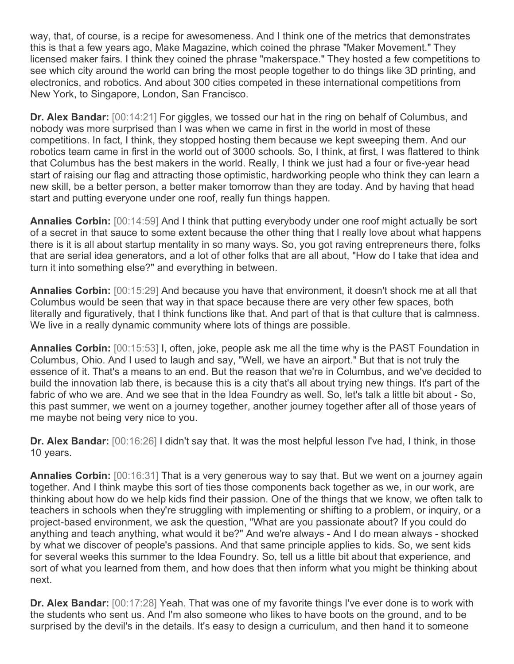way, that, of course, is a recipe for awesomeness. And I think one of the metrics that demonstrates this is that a few years ago, Make Magazine, which coined the phrase "Maker Movement." They licensed maker fairs. I think they coined the phrase "makerspace." They hosted a few competitions to see which city around the world can bring the most people together to do things like 3D printing, and electronics, and robotics. And about 300 cities competed in these international competitions from New York, to Singapore, London, San Francisco.

**Dr. Alex Bandar:** [00:14:21] For giggles, we tossed our hat in the ring on behalf of Columbus, and nobody was more surprised than I was when we came in first in the world in most of these competitions. In fact, I think, they stopped hosting them because we kept sweeping them. And our robotics team came in first in the world out of 3000 schools. So, I think, at first, I was flattered to think that Columbus has the best makers in the world. Really, I think we just had a four or five-year head start of raising our flag and attracting those optimistic, hardworking people who think they can learn a new skill, be a better person, a better maker tomorrow than they are today. And by having that head start and putting everyone under one roof, really fun things happen.

**Annalies Corbin:** [00:14:59] And I think that putting everybody under one roof might actually be sort of a secret in that sauce to some extent because the other thing that I really love about what happens there is it is all about startup mentality in so many ways. So, you got raving entrepreneurs there, folks that are serial idea generators, and a lot of other folks that are all about, "How do I take that idea and turn it into something else?" and everything in between.

**Annalies Corbin:** [00:15:29] And because you have that environment, it doesn't shock me at all that Columbus would be seen that way in that space because there are very other few spaces, both literally and figuratively, that I think functions like that. And part of that is that culture that is calmness. We live in a really dynamic community where lots of things are possible.

**Annalies Corbin:** [00:15:53] I, often, joke, people ask me all the time why is the PAST Foundation in Columbus, Ohio. And I used to laugh and say, "Well, we have an airport." But that is not truly the essence of it. That's a means to an end. But the reason that we're in Columbus, and we've decided to build the innovation lab there, is because this is a city that's all about trying new things. It's part of the fabric of who we are. And we see that in the Idea Foundry as well. So, let's talk a little bit about - So, this past summer, we went on a journey together, another journey together after all of those years of me maybe not being very nice to you.

**Dr. Alex Bandar:** [00:16:26] I didn't say that. It was the most helpful lesson I've had, I think, in those 10 years.

**Annalies Corbin:** [00:16:31] That is a very generous way to say that. But we went on a journey again together. And I think maybe this sort of ties those components back together as we, in our work, are thinking about how do we help kids find their passion. One of the things that we know, we often talk to teachers in schools when they're struggling with implementing or shifting to a problem, or inquiry, or a project-based environment, we ask the question, "What are you passionate about? If you could do anything and teach anything, what would it be?" And we're always - And I do mean always - shocked by what we discover of people's passions. And that same principle applies to kids. So, we sent kids for several weeks this summer to the Idea Foundry. So, tell us a little bit about that experience, and sort of what you learned from them, and how does that then inform what you might be thinking about next.

**Dr. Alex Bandar:** [00:17:28] Yeah. That was one of my favorite things I've ever done is to work with the students who sent us. And I'm also someone who likes to have boots on the ground, and to be surprised by the devil's in the details. It's easy to design a curriculum, and then hand it to someone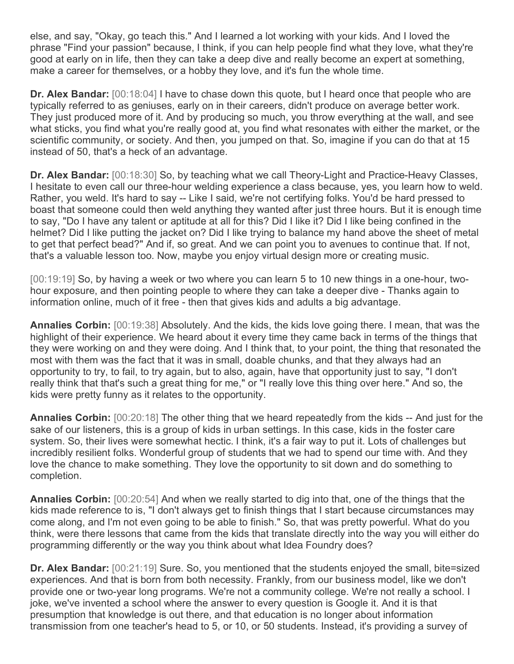else, and say, "Okay, go teach this." And I learned a lot working with your kids. And I loved the phrase "Find your passion" because, I think, if you can help people find what they love, what they're good at early on in life, then they can take a deep dive and really become an expert at something, make a career for themselves, or a hobby they love, and it's fun the whole time.

**Dr. Alex Bandar:** [00:18:04] I have to chase down this quote, but I heard once that people who are typically referred to as geniuses, early on in their careers, didn't produce on average better work. They just produced more of it. And by producing so much, you throw everything at the wall, and see what sticks, you find what you're really good at, you find what resonates with either the market, or the scientific community, or society. And then, you jumped on that. So, imagine if you can do that at 15 instead of 50, that's a heck of an advantage.

**Dr. Alex Bandar:** [00:18:30] So, by teaching what we call Theory-Light and Practice-Heavy Classes, I hesitate to even call our three-hour welding experience a class because, yes, you learn how to weld. Rather, you weld. It's hard to say -- Like I said, we're not certifying folks. You'd be hard pressed to boast that someone could then weld anything they wanted after just three hours. But it is enough time to say, "Do I have any talent or aptitude at all for this? Did I like it? Did I like being confined in the helmet? Did I like putting the jacket on? Did I like trying to balance my hand above the sheet of metal to get that perfect bead?" And if, so great. And we can point you to avenues to continue that. If not, that's a valuable lesson too. Now, maybe you enjoy virtual design more or creating music.

[00:19:19] So, by having a week or two where you can learn 5 to 10 new things in a one-hour, twohour exposure, and then pointing people to where they can take a deeper dive - Thanks again to information online, much of it free - then that gives kids and adults a big advantage.

**Annalies Corbin:** [00:19:38] Absolutely. And the kids, the kids love going there. I mean, that was the highlight of their experience. We heard about it every time they came back in terms of the things that they were working on and they were doing. And I think that, to your point, the thing that resonated the most with them was the fact that it was in small, doable chunks, and that they always had an opportunity to try, to fail, to try again, but to also, again, have that opportunity just to say, "I don't really think that that's such a great thing for me," or "I really love this thing over here." And so, the kids were pretty funny as it relates to the opportunity.

**Annalies Corbin:** [00:20:18] The other thing that we heard repeatedly from the kids -- And just for the sake of our listeners, this is a group of kids in urban settings. In this case, kids in the foster care system. So, their lives were somewhat hectic. I think, it's a fair way to put it. Lots of challenges but incredibly resilient folks. Wonderful group of students that we had to spend our time with. And they love the chance to make something. They love the opportunity to sit down and do something to completion.

**Annalies Corbin:** [00:20:54] And when we really started to dig into that, one of the things that the kids made reference to is, "I don't always get to finish things that I start because circumstances may come along, and I'm not even going to be able to finish." So, that was pretty powerful. What do you think, were there lessons that came from the kids that translate directly into the way you will either do programming differently or the way you think about what Idea Foundry does?

**Dr. Alex Bandar:** [00:21:19] Sure. So, you mentioned that the students enjoyed the small, bite=sized experiences. And that is born from both necessity. Frankly, from our business model, like we don't provide one or two-year long programs. We're not a community college. We're not really a school. I joke, we've invented a school where the answer to every question is Google it. And it is that presumption that knowledge is out there, and that education is no longer about information transmission from one teacher's head to 5, or 10, or 50 students. Instead, it's providing a survey of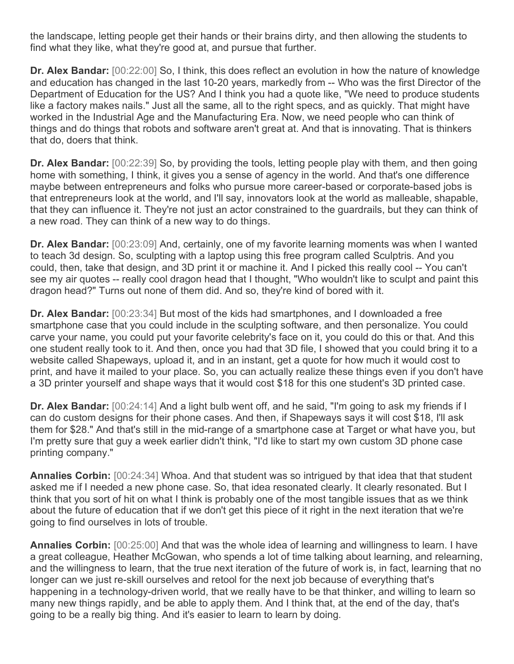the landscape, letting people get their hands or their brains dirty, and then allowing the students to find what they like, what they're good at, and pursue that further.

**Dr. Alex Bandar:** [00:22:00] So, I think, this does reflect an evolution in how the nature of knowledge and education has changed in the last 10-20 years, markedly from -- Who was the first Director of the Department of Education for the US? And I think you had a quote like, "We need to produce students like a factory makes nails." Just all the same, all to the right specs, and as quickly. That might have worked in the Industrial Age and the Manufacturing Era. Now, we need people who can think of things and do things that robots and software aren't great at. And that is innovating. That is thinkers that do, doers that think.

**Dr. Alex Bandar:** [00:22:39] So, by providing the tools, letting people play with them, and then going home with something, I think, it gives you a sense of agency in the world. And that's one difference maybe between entrepreneurs and folks who pursue more career-based or corporate-based jobs is that entrepreneurs look at the world, and I'll say, innovators look at the world as malleable, shapable, that they can influence it. They're not just an actor constrained to the guardrails, but they can think of a new road. They can think of a new way to do things.

**Dr. Alex Bandar:** [00:23:09] And, certainly, one of my favorite learning moments was when I wanted to teach 3d design. So, sculpting with a laptop using this free program called Sculptris. And you could, then, take that design, and 3D print it or machine it. And I picked this really cool -- You can't see my air quotes -- really cool dragon head that I thought, "Who wouldn't like to sculpt and paint this dragon head?" Turns out none of them did. And so, they're kind of bored with it.

**Dr. Alex Bandar:** [00:23:34] But most of the kids had smartphones, and I downloaded a free smartphone case that you could include in the sculpting software, and then personalize. You could carve your name, you could put your favorite celebrity's face on it, you could do this or that. And this one student really took to it. And then, once you had that 3D file, I showed that you could bring it to a website called Shapeways, upload it, and in an instant, get a quote for how much it would cost to print, and have it mailed to your place. So, you can actually realize these things even if you don't have a 3D printer yourself and shape ways that it would cost \$18 for this one student's 3D printed case.

**Dr. Alex Bandar:** [00:24:14] And a light bulb went off, and he said, "I'm going to ask my friends if I can do custom designs for their phone cases. And then, if Shapeways says it will cost \$18, I'll ask them for \$28." And that's still in the mid-range of a smartphone case at Target or what have you, but I'm pretty sure that guy a week earlier didn't think, "I'd like to start my own custom 3D phone case printing company."

**Annalies Corbin:** [00:24:34] Whoa. And that student was so intrigued by that idea that that student asked me if I needed a new phone case. So, that idea resonated clearly. It clearly resonated. But I think that you sort of hit on what I think is probably one of the most tangible issues that as we think about the future of education that if we don't get this piece of it right in the next iteration that we're going to find ourselves in lots of trouble.

**Annalies Corbin:** [00:25:00] And that was the whole idea of learning and willingness to learn. I have a great colleague, Heather McGowan, who spends a lot of time talking about learning, and relearning, and the willingness to learn, that the true next iteration of the future of work is, in fact, learning that no longer can we just re-skill ourselves and retool for the next job because of everything that's happening in a technology-driven world, that we really have to be that thinker, and willing to learn so many new things rapidly, and be able to apply them. And I think that, at the end of the day, that's going to be a really big thing. And it's easier to learn to learn by doing.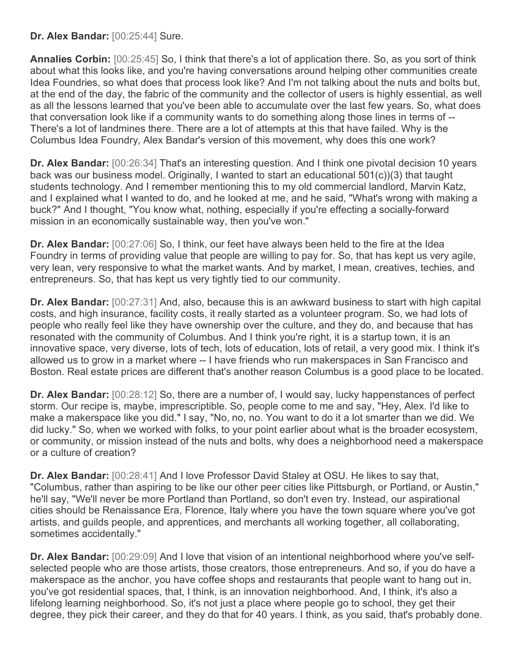**Dr. Alex Bandar:** [00:25:44] Sure.

**Annalies Corbin:** [00:25:45] So, I think that there's a lot of application there. So, as you sort of think about what this looks like, and you're having conversations around helping other communities create Idea Foundries, so what does that process look like? And I'm not talking about the nuts and bolts but, at the end of the day, the fabric of the community and the collector of users is highly essential, as well as all the lessons learned that you've been able to accumulate over the last few years. So, what does that conversation look like if a community wants to do something along those lines in terms of -- There's a lot of landmines there. There are a lot of attempts at this that have failed. Why is the Columbus Idea Foundry, Alex Bandar's version of this movement, why does this one work?

**Dr. Alex Bandar:** [00:26:34] That's an interesting question. And I think one pivotal decision 10 years back was our business model. Originally, I wanted to start an educational 501(c))(3) that taught students technology. And I remember mentioning this to my old commercial landlord, Marvin Katz, and I explained what I wanted to do, and he looked at me, and he said, "What's wrong with making a buck?" And I thought, "You know what, nothing, especially if you're effecting a socially-forward mission in an economically sustainable way, then you've won."

**Dr. Alex Bandar:** [00:27:06] So, I think, our feet have always been held to the fire at the Idea Foundry in terms of providing value that people are willing to pay for. So, that has kept us very agile, very lean, very responsive to what the market wants. And by market, I mean, creatives, techies, and entrepreneurs. So, that has kept us very tightly tied to our community.

**Dr. Alex Bandar:** [00:27:31] And, also, because this is an awkward business to start with high capital costs, and high insurance, facility costs, it really started as a volunteer program. So, we had lots of people who really feel like they have ownership over the culture, and they do, and because that has resonated with the community of Columbus. And I think you're right, it is a startup town, it is an innovative space, very diverse, lots of tech, lots of education, lots of retail, a very good mix. I think it's allowed us to grow in a market where -- I have friends who run makerspaces in San Francisco and Boston. Real estate prices are different that's another reason Columbus is a good place to be located.

**Dr. Alex Bandar:** [00:28:12] So, there are a number of, I would say, lucky happenstances of perfect storm. Our recipe is, maybe, imprescriptible. So, people come to me and say, "Hey, Alex. I'd like to make a makerspace like you did." I say, "No, no, no. You want to do it a lot smarter than we did. We did lucky." So, when we worked with folks, to your point earlier about what is the broader ecosystem, or community, or mission instead of the nuts and bolts, why does a neighborhood need a makerspace or a culture of creation?

**Dr. Alex Bandar:** [00:28:41] And I love Professor David Staley at OSU. He likes to say that, "Columbus, rather than aspiring to be like our other peer cities like Pittsburgh, or Portland, or Austin," he'll say, "We'll never be more Portland than Portland, so don't even try. Instead, our aspirational cities should be Renaissance Era, Florence, Italy where you have the town square where you've got artists, and guilds people, and apprentices, and merchants all working together, all collaborating, sometimes accidentally."

**Dr. Alex Bandar:** [00:29:09] And I love that vision of an intentional neighborhood where you've selfselected people who are those artists, those creators, those entrepreneurs. And so, if you do have a makerspace as the anchor, you have coffee shops and restaurants that people want to hang out in, you've got residential spaces, that, I think, is an innovation neighborhood. And, I think, it's also a lifelong learning neighborhood. So, it's not just a place where people go to school, they get their degree, they pick their career, and they do that for 40 years. I think, as you said, that's probably done.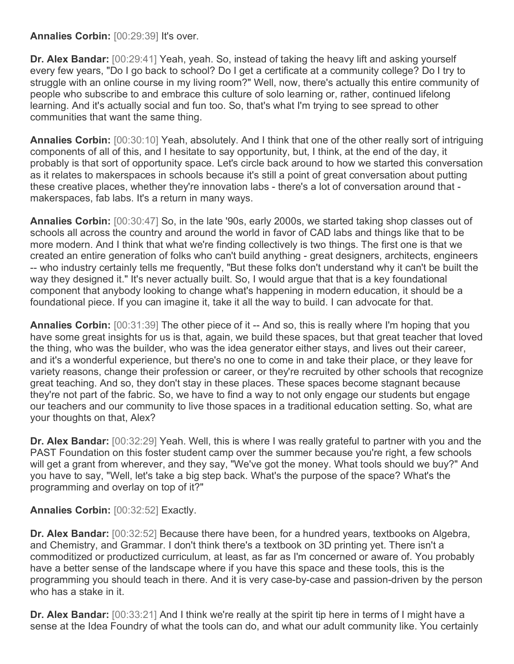## **Annalies Corbin:** [00:29:39] It's over.

**Dr. Alex Bandar:** [00:29:41] Yeah, yeah. So, instead of taking the heavy lift and asking yourself every few years, "Do I go back to school? Do I get a certificate at a community college? Do I try to struggle with an online course in my living room?" Well, now, there's actually this entire community of people who subscribe to and embrace this culture of solo learning or, rather, continued lifelong learning. And it's actually social and fun too. So, that's what I'm trying to see spread to other communities that want the same thing.

**Annalies Corbin:** [00:30:10] Yeah, absolutely. And I think that one of the other really sort of intriguing components of all of this, and I hesitate to say opportunity, but, I think, at the end of the day, it probably is that sort of opportunity space. Let's circle back around to how we started this conversation as it relates to makerspaces in schools because it's still a point of great conversation about putting these creative places, whether they're innovation labs - there's a lot of conversation around that makerspaces, fab labs. It's a return in many ways.

**Annalies Corbin:** [00:30:47] So, in the late '90s, early 2000s, we started taking shop classes out of schools all across the country and around the world in favor of CAD labs and things like that to be more modern. And I think that what we're finding collectively is two things. The first one is that we created an entire generation of folks who can't build anything - great designers, architects, engineers -- who industry certainly tells me frequently, "But these folks don't understand why it can't be built the way they designed it." It's never actually built. So, I would argue that that is a key foundational component that anybody looking to change what's happening in modern education, it should be a foundational piece. If you can imagine it, take it all the way to build. I can advocate for that.

**Annalies Corbin:** [00:31:39] The other piece of it -- And so, this is really where I'm hoping that you have some great insights for us is that, again, we build these spaces, but that great teacher that loved the thing, who was the builder, who was the idea generator either stays, and lives out their career, and it's a wonderful experience, but there's no one to come in and take their place, or they leave for variety reasons, change their profession or career, or they're recruited by other schools that recognize great teaching. And so, they don't stay in these places. These spaces become stagnant because they're not part of the fabric. So, we have to find a way to not only engage our students but engage our teachers and our community to live those spaces in a traditional education setting. So, what are your thoughts on that, Alex?

**Dr. Alex Bandar:** [00:32:29] Yeah. Well, this is where I was really grateful to partner with you and the PAST Foundation on this foster student camp over the summer because you're right, a few schools will get a grant from wherever, and they say, "We've got the money. What tools should we buy?" And you have to say, "Well, let's take a big step back. What's the purpose of the space? What's the programming and overlay on top of it?"

## **Annalies Corbin:** [00:32:52] Exactly.

**Dr. Alex Bandar:** [00:32:52] Because there have been, for a hundred years, textbooks on Algebra, and Chemistry, and Grammar. I don't think there's a textbook on 3D printing yet. There isn't a commoditized or productized curriculum, at least, as far as I'm concerned or aware of. You probably have a better sense of the landscape where if you have this space and these tools, this is the programming you should teach in there. And it is very case-by-case and passion-driven by the person who has a stake in it.

**Dr. Alex Bandar:** [00:33:21] And I think we're really at the spirit tip here in terms of I might have a sense at the Idea Foundry of what the tools can do, and what our adult community like. You certainly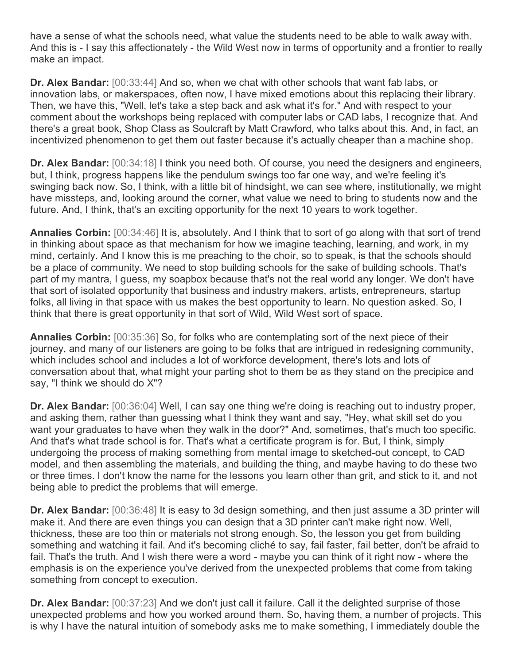have a sense of what the schools need, what value the students need to be able to walk away with. And this is - I say this affectionately - the Wild West now in terms of opportunity and a frontier to really make an impact.

**Dr. Alex Bandar:** [00:33:44] And so, when we chat with other schools that want fab labs, or innovation labs, or makerspaces, often now, I have mixed emotions about this replacing their library. Then, we have this, "Well, let's take a step back and ask what it's for." And with respect to your comment about the workshops being replaced with computer labs or CAD labs, I recognize that. And there's a great book, Shop Class as Soulcraft by Matt Crawford, who talks about this. And, in fact, an incentivized phenomenon to get them out faster because it's actually cheaper than a machine shop.

**Dr. Alex Bandar:** [00:34:18] I think you need both. Of course, you need the designers and engineers, but, I think, progress happens like the pendulum swings too far one way, and we're feeling it's swinging back now. So, I think, with a little bit of hindsight, we can see where, institutionally, we might have missteps, and, looking around the corner, what value we need to bring to students now and the future. And, I think, that's an exciting opportunity for the next 10 years to work together.

**Annalies Corbin:** [00:34:46] It is, absolutely. And I think that to sort of go along with that sort of trend in thinking about space as that mechanism for how we imagine teaching, learning, and work, in my mind, certainly. And I know this is me preaching to the choir, so to speak, is that the schools should be a place of community. We need to stop building schools for the sake of building schools. That's part of my mantra, I guess, my soapbox because that's not the real world any longer. We don't have that sort of isolated opportunity that business and industry makers, artists, entrepreneurs, startup folks, all living in that space with us makes the best opportunity to learn. No question asked. So, I think that there is great opportunity in that sort of Wild, Wild West sort of space.

**Annalies Corbin:** [00:35:36] So, for folks who are contemplating sort of the next piece of their journey, and many of our listeners are going to be folks that are intrigued in redesigning community, which includes school and includes a lot of workforce development, there's lots and lots of conversation about that, what might your parting shot to them be as they stand on the precipice and say, "I think we should do X"?

**Dr. Alex Bandar:** [00:36:04] Well, I can say one thing we're doing is reaching out to industry proper, and asking them, rather than guessing what I think they want and say, "Hey, what skill set do you want your graduates to have when they walk in the door?" And, sometimes, that's much too specific. And that's what trade school is for. That's what a certificate program is for. But, I think, simply undergoing the process of making something from mental image to sketched-out concept, to CAD model, and then assembling the materials, and building the thing, and maybe having to do these two or three times. I don't know the name for the lessons you learn other than grit, and stick to it, and not being able to predict the problems that will emerge.

**Dr. Alex Bandar:** [00:36:48] It is easy to 3d design something, and then just assume a 3D printer will make it. And there are even things you can design that a 3D printer can't make right now. Well, thickness, these are too thin or materials not strong enough. So, the lesson you get from building something and watching it fail. And it's becoming cliché to say, fail faster, fail better, don't be afraid to fail. That's the truth. And I wish there were a word - maybe you can think of it right now - where the emphasis is on the experience you've derived from the unexpected problems that come from taking something from concept to execution.

**Dr. Alex Bandar:** [00:37:23] And we don't just call it failure. Call it the delighted surprise of those unexpected problems and how you worked around them. So, having them, a number of projects. This is why I have the natural intuition of somebody asks me to make something, I immediately double the